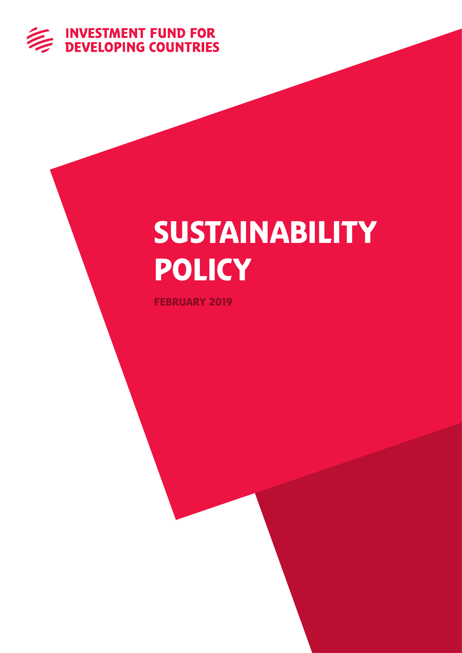

# SUSTAINABILITY **POLICY**

FEBRUARY 2019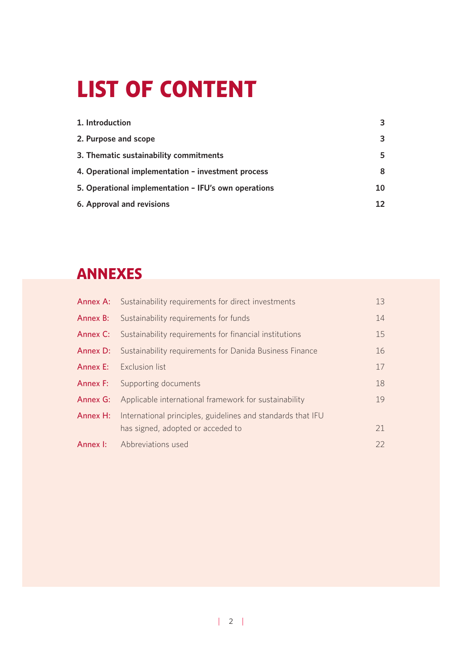# LIST OF CONTENT

| 1. Introduction                                      | 3  |
|------------------------------------------------------|----|
| 2. Purpose and scope                                 | 3  |
| 3. Thematic sustainability commitments               | 5  |
| 4. Operational implementation - investment process   | 8  |
| 5. Operational implementation - IFU's own operations | 10 |
| 6. Approval and revisions                            | 12 |

# ANNEXES

| <b>Annex A:</b> Sustainability requirements for direct investments      | 13 |
|-------------------------------------------------------------------------|----|
| <b>Annex B:</b> Sustainability requirements for funds                   | 14 |
| <b>Annex C:</b> Sustainability requirements for financial institutions  | 15 |
| <b>Annex D:</b> Sustainability requirements for Danida Business Finance | 16 |
| <b>Annex E:</b> Exclusion list                                          | 17 |
| <b>Annex F:</b> Supporting documents                                    | 18 |
| Applicable international framework for sustainability                   | 19 |
| International principles, guidelines and standards that IFU             |    |
| has signed, adopted or acceded to                                       | 21 |
| <b>Annex I:</b> Abbreviations used                                      | 22 |
|                                                                         |    |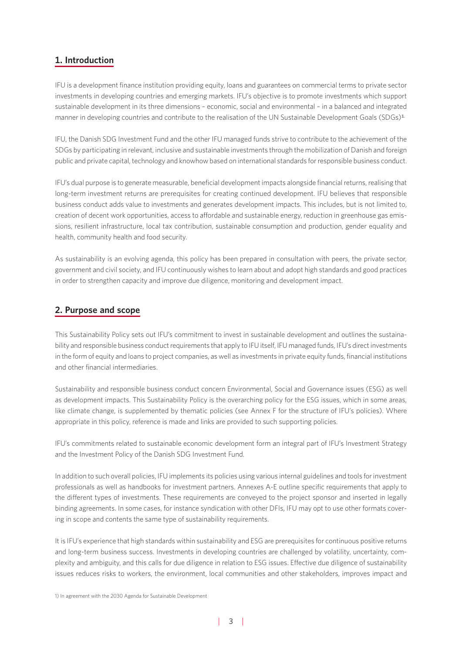## **1. Introduction**

IFU is a development finance institution providing equity, loans and guarantees on commercial terms to private sector investments in developing countries and emerging markets. IFU's objective is to promote investments which support sustainable development in its three dimensions – economic, social and environmental – in a balanced and integrated manner in developing countries and contribute to the realisation of the UN Sustainable Development Goals (SDGs)<sup>1.</sup>

IFU, the Danish SDG Investment Fund and the other IFU managed funds strive to contribute to the achievement of the SDGs by participating in relevant, inclusive and sustainable investments through the mobilization of Danish and foreign public and private capital, technology and knowhow based on international standards for responsible business conduct.

IFU's dual purpose is to generate measurable, beneficial development impacts alongside financial returns, realising that long-term investment returns are prerequisites for creating continued development. IFU believes that responsible business conduct adds value to investments and generates development impacts. This includes, but is not limited to, creation of decent work opportunities, access to affordable and sustainable energy, reduction in greenhouse gas emissions, resilient infrastructure, local tax contribution, sustainable consumption and production, gender equality and health, community health and food security.

As sustainability is an evolving agenda, this policy has been prepared in consultation with peers, the private sector, government and civil society, and IFU continuously wishes to learn about and adopt high standards and good practices in order to strengthen capacity and improve due diligence, monitoring and development impact.

## **2. Purpose and scope**

This Sustainability Policy sets out IFU's commitment to invest in sustainable development and outlines the sustainability and responsible business conduct requirements that apply to IFU itself, IFU managed funds, IFU's direct investments in the form of equity and loans to project companies, as well as investments in private equity funds, financial institutions and other financial intermediaries.

Sustainability and responsible business conduct concern Environmental, Social and Governance issues (ESG) as well as development impacts. This Sustainability Policy is the overarching policy for the ESG issues, which in some areas, like climate change, is supplemented by thematic policies (see Annex F for the structure of IFU's policies). Where appropriate in this policy, reference is made and links are provided to such supporting policies.

IFU's commitments related to sustainable economic development form an integral part of IFU's Investment Strategy and the Investment Policy of the Danish SDG Investment Fund.

In addition to such overall policies, IFU implements its policies using various internal guidelines and tools for investment professionals as well as handbooks for investment partners. Annexes A-E outline specific requirements that apply to the different types of investments. These requirements are conveyed to the project sponsor and inserted in legally binding agreements. In some cases, for instance syndication with other DFIs, IFU may opt to use other formats covering in scope and contents the same type of sustainability requirements.

It is IFU's experience that high standards within sustainability and ESG are prerequisites for continuous positive returns and long-term business success. Investments in developing countries are challenged by volatility, uncertainty, complexity and ambiguity, and this calls for due diligence in relation to ESG issues. Effective due diligence of sustainability issues reduces risks to workers, the environment, local communities and other stakeholders, improves impact and

1) In agreement with the 2030 Agenda for Sustainable Development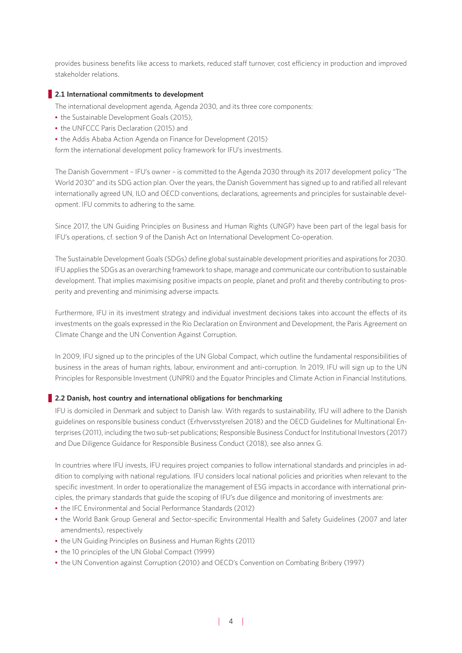provides business benefits like access to markets, reduced staff turnover, cost efficiency in production and improved stakeholder relations.

## **2.1 International commitments to development**

- The international development agenda, Agenda 2030, and its three core components:
- the Sustainable Development Goals (2015),
- the UNFCCC Paris Declaration (2015) and
- the Addis Ababa Action Agenda on Finance for Development (2015)

form the international development policy framework for IFU's investments.

The Danish Government – IFU's owner – is committed to the Agenda 2030 through its 2017 development policy "The World 2030" and its SDG action plan. Over the years, the Danish Government has signed up to and ratified all relevant internationally agreed UN, ILO and OECD conventions, declarations, agreements and principles for sustainable development. IFU commits to adhering to the same.

Since 2017, the UN Guiding Principles on Business and Human Rights (UNGP) have been part of the legal basis for IFU's operations, cf. section 9 of the Danish Act on International Development Co-operation.

The Sustainable Development Goals (SDGs) define global sustainable development priorities and aspirations for 2030. IFU applies the SDGs as an overarching framework to shape, manage and communicate our contribution to sustainable development. That implies maximising positive impacts on people, planet and profit and thereby contributing to prosperity and preventing and minimising adverse impacts.

Furthermore, IFU in its investment strategy and individual investment decisions takes into account the effects of its investments on the goals expressed in the Rio Declaration on Environment and Development, the Paris Agreement on Climate Change and the UN Convention Against Corruption.

In 2009, IFU signed up to the principles of the UN Global Compact, which outline the fundamental responsibilities of business in the areas of human rights, labour, environment and anti-corruption. In 2019, IFU will sign up to the UN Principles for Responsible Investment (UNPRI) and the Equator Principles and Climate Action in Financial Institutions.

## **2.2 Danish, host country and international obligations for benchmarking**

IFU is domiciled in Denmark and subject to Danish law. With regards to sustainability, IFU will adhere to the Danish guidelines on responsible business conduct (Erhvervsstyrelsen 2018) and the OECD Guidelines for Multinational Enterprises (2011), including the two sub-set publications; Responsible Business Conduct for Institutional Investors (2017) and Due Diligence Guidance for Responsible Business Conduct (2018), see also annex G.

In countries where IFU invests, IFU requires project companies to follow international standards and principles in addition to complying with national regulations. IFU considers local national policies and priorities when relevant to the specific investment. In order to operationalize the management of ESG impacts in accordance with international principles, the primary standards that guide the scoping of IFU's due diligence and monitoring of investments are:

- the IFC Environmental and Social Performance Standards (2012)
- the World Bank Group General and Sector-specific Environmental Health and Safety Guidelines (2007 and later amendments), respectively
- the UN Guiding Principles on Business and Human Rights (2011)
- the 10 principles of the UN Global Compact (1999)
- the UN Convention against Corruption (2010) and OECD's Convention on Combating Bribery (1997)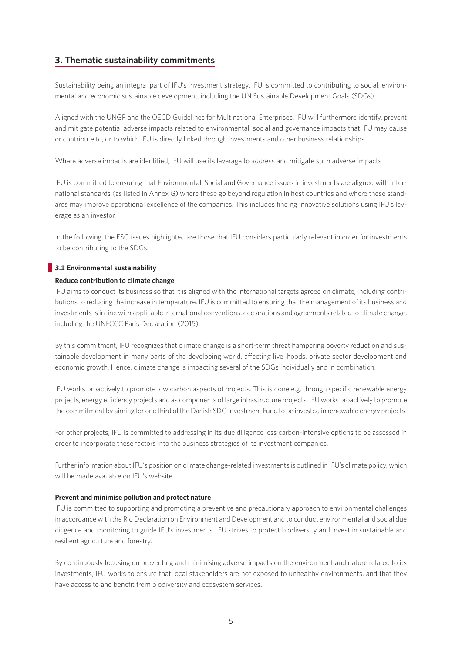## **3. Thematic sustainability commitments**

Sustainability being an integral part of IFU's investment strategy, IFU is committed to contributing to social, environmental and economic sustainable development, including the UN Sustainable Development Goals (SDGs).

Aligned with the UNGP and the OECD Guidelines for Multinational Enterprises, IFU will furthermore identify, prevent and mitigate potential adverse impacts related to environmental, social and governance impacts that IFU may cause or contribute to, or to which IFU is directly linked through investments and other business relationships.

Where adverse impacts are identified, IFU will use its leverage to address and mitigate such adverse impacts.

IFU is committed to ensuring that Environmental, Social and Governance issues in investments are aligned with international standards (as listed in Annex G) where these go beyond regulation in host countries and where these standards may improve operational excellence of the companies. This includes finding innovative solutions using IFU's leverage as an investor.

In the following, the ESG issues highlighted are those that IFU considers particularly relevant in order for investments to be contributing to the SDGs.

## **3.1 Environmental sustainability**

#### **Reduce contribution to climate change**

IFU aims to conduct its business so that it is aligned with the international targets agreed on climate, including contributions to reducing the increase in temperature. IFU is committed to ensuring that the management of its business and investments is in line with applicable international conventions, declarations and agreements related to climate change, including the UNFCCC Paris Declaration (2015).

By this commitment, IFU recognizes that climate change is a short-term threat hampering poverty reduction and sustainable development in many parts of the developing world, affecting livelihoods, private sector development and economic growth. Hence, climate change is impacting several of the SDGs individually and in combination.

IFU works proactively to promote low carbon aspects of projects. This is done e.g. through specific renewable energy projects, energy efficiency projects and as components of large infrastructure projects. IFU works proactively to promote the commitment by aiming for one third of the Danish SDG Investment Fund to be invested in renewable energy projects.

For other projects, IFU is committed to addressing in its due diligence less carbon-intensive options to be assessed in order to incorporate these factors into the business strategies of its investment companies.

Further information about IFU's position on climate change-related investments is outlined in IFU's climate policy, which will be made available on IFU's website.

#### **Prevent and minimise pollution and protect nature**

IFU is committed to supporting and promoting a preventive and precautionary approach to environmental challenges in accordance with the Rio Declaration on Environment and Development and to conduct environmental and social due diligence and monitoring to guide IFU's investments. IFU strives to protect biodiversity and invest in sustainable and resilient agriculture and forestry.

By continuously focusing on preventing and minimising adverse impacts on the environment and nature related to its investments, IFU works to ensure that local stakeholders are not exposed to unhealthy environments, and that they have access to and benefit from biodiversity and ecosystem services.

| 5|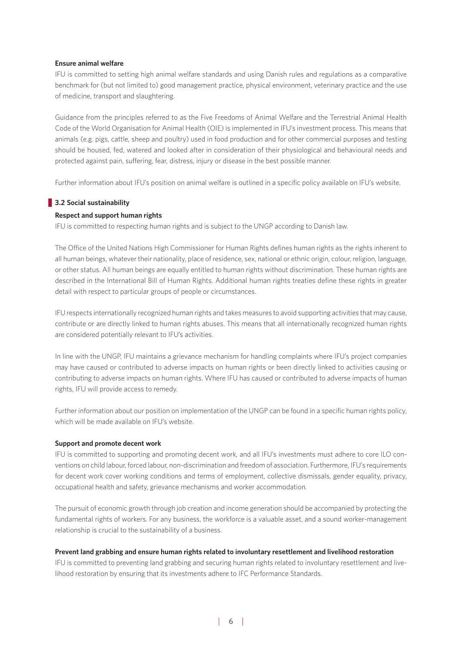#### **Ensure animal welfare**

IFU is committed to setting high animal welfare standards and using Danish rules and regulations as a comparative benchmark for (but not limited to) good management practice, physical environment, veterinary practice and the use of medicine, transport and slaughtering.

Guidance from the principles referred to as the Five Freedoms of Animal Welfare and the Terrestrial Animal Health Code of the World Organisation for Animal Health (OIE) is implemented in IFU's investment process. This means that animals (e.g. pigs, cattle, sheep and poultry) used in food production and for other commercial purposes and testing should be housed, fed, watered and looked after in consideration of their physiological and behavioural needs and protected against pain, suffering, fear, distress, injury or disease in the best possible manner.

Further information about IFU's position on animal welfare is outlined in a specific policy available on IFU's website.

#### **3.2 Social sustainability**

## **Respect and support human rights**

IFU is committed to respecting human rights and is subject to the UNGP according to Danish law.

The Office of the United Nations High Commissioner for Human Rights defines human rights as the rights inherent to all human beings, whatever their nationality, place of residence, sex, national or ethnic origin, colour, religion, language, or other status. All human beings are equally entitled to human rights without discrimination. These human rights are described in the International Bill of Human Rights. Additional human rights treaties define these rights in greater detail with respect to particular groups of people or circumstances.

IFU respects internationally recognized human rights and takes measures to avoid supporting activities that may cause, contribute or are directly linked to human rights abuses. This means that all internationally recognized human rights are considered potentially relevant to IFU's activities.

In line with the UNGP, IFU maintains a grievance mechanism for handling complaints where IFU's project companies may have caused or contributed to adverse impacts on human rights or been directly linked to activities causing or contributing to adverse impacts on human rights. Where IFU has caused or contributed to adverse impacts of human rights, IFU will provide access to remedy.

Further information about our position on implementation of the UNGP can be found in a specific human rights policy, which will be made available on IFU's website.

#### **Support and promote decent work**

IFU is committed to supporting and promoting decent work, and all IFU's investments must adhere to core ILO conventions on child labour, forced labour, non-discrimination and freedom of association. Furthermore, IFU's requirements for decent work cover working conditions and terms of employment, collective dismissals, gender equality, privacy, occupational health and safety, grievance mechanisms and worker accommodation.

The pursuit of economic growth through job creation and income generation should be accompanied by protecting the fundamental rights of workers. For any business, the workforce is a valuable asset, and a sound worker-management relationship is crucial to the sustainability of a business.

#### **Prevent land grabbing and ensure human rights related to involuntary resettlement and livelihood restoration**

IFU is committed to preventing land grabbing and securing human rights related to involuntary resettlement and livelihood restoration by ensuring that its investments adhere to IFC Performance Standards.

| 6|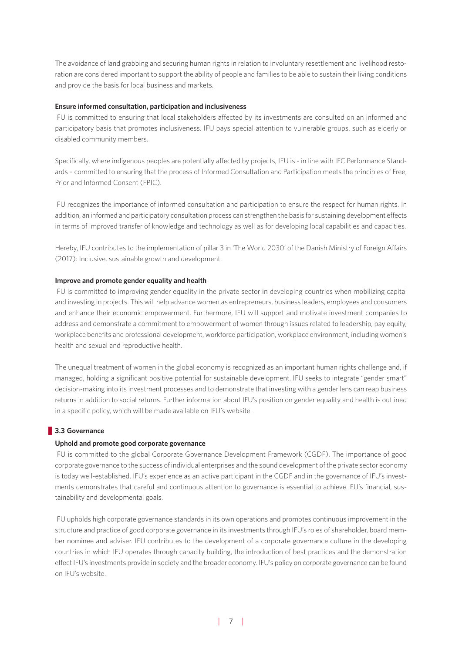The avoidance of land grabbing and securing human rights in relation to involuntary resettlement and livelihood restoration are considered important to support the ability of people and families to be able to sustain their living conditions and provide the basis for local business and markets.

## **Ensure informed consultation, participation and inclusiveness**

IFU is committed to ensuring that local stakeholders affected by its investments are consulted on an informed and participatory basis that promotes inclusiveness. IFU pays special attention to vulnerable groups, such as elderly or disabled community members.

Specifically, where indigenous peoples are potentially affected by projects, IFU is - in line with IFC Performance Standards – committed to ensuring that the process of Informed Consultation and Participation meets the principles of Free, Prior and Informed Consent (FPIC).

IFU recognizes the importance of informed consultation and participation to ensure the respect for human rights. In addition, an informed and participatory consultation process can strengthen the basis for sustaining development effects in terms of improved transfer of knowledge and technology as well as for developing local capabilities and capacities.

Hereby, IFU contributes to the implementation of pillar 3 in 'The World 2030' of the Danish Ministry of Foreign Affairs (2017): Inclusive, sustainable growth and development.

#### **Improve and promote gender equality and health**

IFU is committed to improving gender equality in the private sector in developing countries when mobilizing capital and investing in projects. This will help advance women as entrepreneurs, business leaders, employees and consumers and enhance their economic empowerment. Furthermore, IFU will support and motivate investment companies to address and demonstrate a commitment to empowerment of women through issues related to leadership, pay equity, workplace benefits and professional development, workforce participation, workplace environment, including women's health and sexual and reproductive health.

The unequal treatment of women in the global economy is recognized as an important human rights challenge and, if managed, holding a significant positive potential for sustainable development. IFU seeks to integrate "gender smart" decision-making into its investment processes and to demonstrate that investing with a gender lens can reap business returns in addition to social returns. Further information about IFU's position on gender equality and health is outlined in a specific policy, which will be made available on IFU's website.

## **3.3 Governance**

#### **Uphold and promote good corporate governance**

IFU is committed to the global Corporate Governance Development Framework (CGDF). The importance of good corporate governance to the success of individual enterprises and the sound development of the private sector economy is today well-established. IFU's experience as an active participant in the CGDF and in the governance of IFU's investments demonstrates that careful and continuous attention to governance is essential to achieve IFU's financial, sustainability and developmental goals.

IFU upholds high corporate governance standards in its own operations and promotes continuous improvement in the structure and practice of good corporate governance in its investments through IFU's roles of shareholder, board member nominee and adviser. IFU contributes to the development of a corporate governance culture in the developing countries in which IFU operates through capacity building, the introduction of best practices and the demonstration effect IFU's investments provide in society and the broader economy. IFU's policy on corporate governance can be found on IFU's website.

| 7|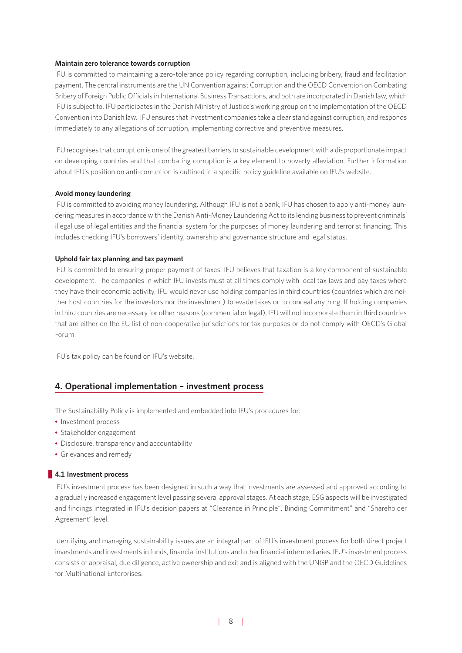### **Maintain zero tolerance towards corruption**

IFU is committed to maintaining a zero-tolerance policy regarding corruption, including bribery, fraud and facilitation payment. The central instruments are the UN Convention against Corruption and the OECD Convention on Combating Bribery of Foreign Public Officials in International Business Transactions, and both are incorporated in Danish law, which IFU is subject to. IFU participates in the Danish Ministry of Justice's working group on the implementation of the OECD Convention into Danish law. IFU ensures that investment companies take a clear stand against corruption, and responds immediately to any allegations of corruption, implementing corrective and preventive measures.

IFU recognises that corruption is one of the greatest barriers to sustainable development with a disproportionate impact on developing countries and that combating corruption is a key element to poverty alleviation. Further information about IFU's position on anti-corruption is outlined in a specific policy guideline available on IFU's website.

### **Avoid money laundering**

IFU is committed to avoiding money laundering. Although IFU is not a bank, IFU has chosen to apply anti-money laundering measures in accordance with the Danish Anti-Money Laundering Act to its lending business to prevent criminals' illegal use of legal entities and the financial system for the purposes of money laundering and terrorist financing. This includes checking IFU's borrowers' identity, ownership and governance structure and legal status.

### **Uphold fair tax planning and tax payment**

IFU is committed to ensuring proper payment of taxes. IFU believes that taxation is a key component of sustainable development. The companies in which IFU invests must at all times comply with local tax laws and pay taxes where they have their economic activity. IFU would never use holding companies in third countries (countries which are neither host countries for the investors nor the investment) to evade taxes or to conceal anything. If holding companies in third countries are necessary for other reasons (commercial or legal), IFU will not incorporate them in third countries that are either on the EU list of non-cooperative jurisdictions for tax purposes or do not comply with OECD's Global Forum.

IFU's tax policy can be found on IFU's website.

## **4. Operational implementation – investment process**

The Sustainability Policy is implemented and embedded into IFU's procedures for:

- Investment process
- Stakeholder engagement
- Disclosure, transparency and accountability
- Grievances and remedy

## **4.1 Investment process**

IFU's investment process has been designed in such a way that investments are assessed and approved according to a gradually increased engagement level passing several approval stages. At each stage, ESG aspects will be investigated and findings integrated in IFU's decision papers at "Clearance in Principle", Binding Commitment" and "Shareholder Agreement" level.

Identifying and managing sustainability issues are an integral part of IFU's investment process for both direct project investments and investments in funds, financial institutions and other financial intermediaries. IFU's investment process consists of appraisal, due diligence, active ownership and exit and is aligned with the UNGP and the OECD Guidelines for Multinational Enterprises.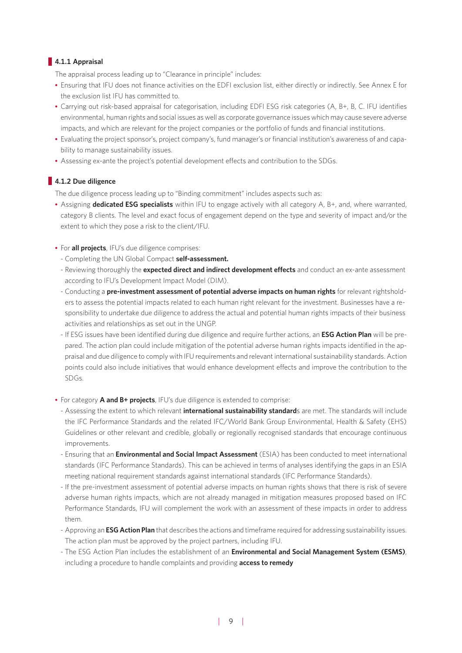## **4.1.1 Appraisal**

The appraisal process leading up to "Clearance in principle" includes:

- Ensuring that IFU does not finance activities on the EDFI exclusion list, either directly or indirectly. See Annex E for the exclusion list IFU has committed to.
- Carrying out risk-based appraisal for categorisation, including EDFI ESG risk categories (A, B+, B, C. IFU identifies environmental, human rights and social issues as well as corporate governance issues which may cause severe adverse impacts, and which are relevant for the project companies or the portfolio of funds and financial institutions.
- Evaluating the project sponsor's, project company's, fund manager's or financial institution's awareness of and capability to manage sustainability issues.
- Assessing ex-ante the project's potential development effects and contribution to the SDGs.

## **4.1.2 Due diligence**

The due diligence process leading up to "Binding commitment" includes aspects such as:

- Assigning **dedicated ESG specialists** within IFU to engage actively with all category A, B+, and, where warranted, category B clients. The level and exact focus of engagement depend on the type and severity of impact and/or the extent to which they pose a risk to the client/IFU.
- For **all projects**, IFU's due diligence comprises:
	- Completing the UN Global Compact **self-assessment.**
	- Reviewing thoroughly the **expected direct and indirect development effects** and conduct an ex-ante assessment according to IFU's Development Impact Model (DIM).
	- Conducting a **pre-investment assessment of potential adverse impacts on human rights** for relevant rightsholders to assess the potential impacts related to each human right relevant for the investment. Businesses have a responsibility to undertake due diligence to address the actual and potential human rights impacts of their business activities and relationships as set out in the UNGP.
	- If ESG issues have been identified during due diligence and require further actions, an **ESG Action Plan** will be prepared. The action plan could include mitigation of the potential adverse human rights impacts identified in the appraisal and due diligence to comply with IFU requirements and relevant international sustainability standards. Action points could also include initiatives that would enhance development effects and improve the contribution to the SDGs.
- For category **A and B+ projects**, IFU's due diligence is extended to comprise:
	- Assessing the extent to which relevant **international sustainability standard**s are met. The standards will include the IFC Performance Standards and the related IFC/World Bank Group Environmental, Health & Safety (EHS) Guidelines or other relevant and credible, globally or regionally recognised standards that encourage continuous improvements.
	- Ensuring that an **Environmental and Social Impact Assessment** (ESIA) has been conducted to meet international standards (IFC Performance Standards). This can be achieved in terms of analyses identifying the gaps in an ESIA meeting national requirement standards against international standards (IFC Performance Standards).
	- If the pre-investment assessment of potential adverse impacts on human rights shows that there is risk of severe adverse human rights impacts, which are not already managed in mitigation measures proposed based on IFC Performance Standards, IFU will complement the work with an assessment of these impacts in order to address them.
	- Approving an **ESG Action Plan** that describes the actions and timeframe required for addressing sustainability issues. The action plan must be approved by the project partners, including IFU.
	- The ESG Action Plan includes the establishment of an **Environmental and Social Management System (ESMS)**, including a procedure to handle complaints and providing **access to remedy**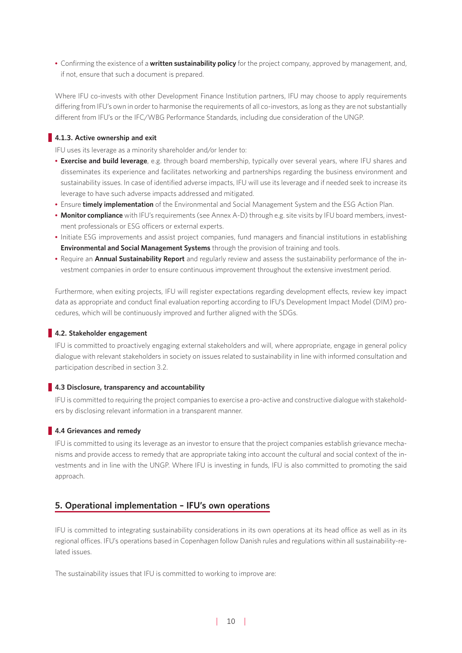**•** Confirming the existence of a **written sustainability policy** for the project company, approved by management, and, if not, ensure that such a document is prepared.

Where IFU co-invests with other Development Finance Institution partners, IFU may choose to apply requirements differing from IFU's own in order to harmonise the requirements of all co-investors, as long as they are not substantially different from IFU's or the IFC/WBG Performance Standards, including due consideration of the UNGP.

## **4.1.3. Active ownership and exit**

IFU uses its leverage as a minority shareholder and/or lender to:

- **Exercise and build leverage**, e.g. through board membership, typically over several years, where IFU shares and disseminates its experience and facilitates networking and partnerships regarding the business environment and sustainability issues. In case of identified adverse impacts, IFU will use its leverage and if needed seek to increase its leverage to have such adverse impacts addressed and mitigated.
- Ensure **timely implementation** of the Environmental and Social Management System and the ESG Action Plan.
- **Monitor compliance** with IFU's requirements (see Annex A-D) through e.g. site visits by IFU board members, investment professionals or ESG officers or external experts.
- Initiate ESG improvements and assist project companies, fund managers and financial institutions in establishing **Environmental and Social Management Systems** through the provision of training and tools.
- Require an **Annual Sustainability Report** and regularly review and assess the sustainability performance of the investment companies in order to ensure continuous improvement throughout the extensive investment period.

Furthermore, when exiting projects, IFU will register expectations regarding development effects, review key impact data as appropriate and conduct final evaluation reporting according to IFU's Development Impact Model (DIM) procedures, which will be continuously improved and further aligned with the SDGs.

## **4.2. Stakeholder engagement**

IFU is committed to proactively engaging external stakeholders and will, where appropriate, engage in general policy dialogue with relevant stakeholders in society on issues related to sustainability in line with informed consultation and participation described in section 3.2.

## **4.3 Disclosure, transparency and accountability**

IFU is committed to requiring the project companies to exercise a pro-active and constructive dialogue with stakeholders by disclosing relevant information in a transparent manner.

## **4.4 Grievances and remedy**

IFU is committed to using its leverage as an investor to ensure that the project companies establish grievance mechanisms and provide access to remedy that are appropriate taking into account the cultural and social context of the investments and in line with the UNGP. Where IFU is investing in funds, IFU is also committed to promoting the said approach.

## **5. Operational implementation – IFU's own operations**

IFU is committed to integrating sustainability considerations in its own operations at its head office as well as in its regional offices. IFU's operations based in Copenhagen follow Danish rules and regulations within all sustainability-related issues.

The sustainability issues that IFU is committed to working to improve are: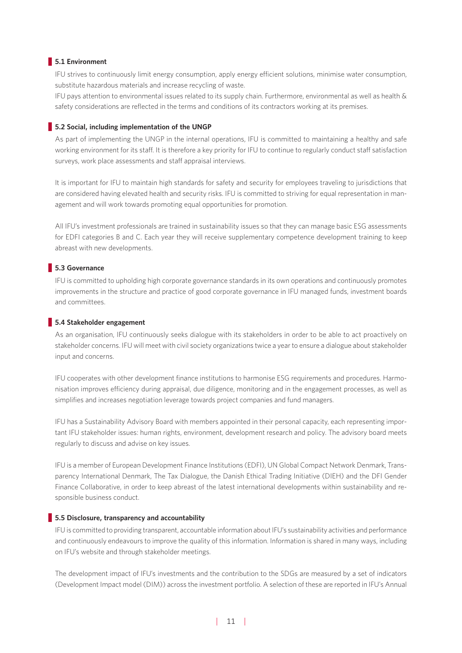## **5.1 Environment**

IFU strives to continuously limit energy consumption, apply energy efficient solutions, minimise water consumption, substitute hazardous materials and increase recycling of waste.

IFU pays attention to environmental issues related to its supply chain. Furthermore, environmental as well as health & safety considerations are reflected in the terms and conditions of its contractors working at its premises.

#### **5.2 Social, including implementation of the UNGP**

As part of implementing the UNGP in the internal operations, IFU is committed to maintaining a healthy and safe working environment for its staff. It is therefore a key priority for IFU to continue to regularly conduct staff satisfaction surveys, work place assessments and staff appraisal interviews.

It is important for IFU to maintain high standards for safety and security for employees traveling to jurisdictions that are considered having elevated health and security risks. IFU is committed to striving for equal representation in management and will work towards promoting equal opportunities for promotion.

All IFU's investment professionals are trained in sustainability issues so that they can manage basic ESG assessments for EDFI categories B and C. Each year they will receive supplementary competence development training to keep abreast with new developments.

## **5.3 Governance**

IFU is committed to upholding high corporate governance standards in its own operations and continuously promotes improvements in the structure and practice of good corporate governance in IFU managed funds, investment boards and committees.

#### **5.4 Stakeholder engagement**

As an organisation, IFU continuously seeks dialogue with its stakeholders in order to be able to act proactively on stakeholder concerns. IFU will meet with civil society organizations twice a year to ensure a dialogue about stakeholder input and concerns.

IFU cooperates with other development finance institutions to harmonise ESG requirements and procedures. Harmonisation improves efficiency during appraisal, due diligence, monitoring and in the engagement processes, as well as simplifies and increases negotiation leverage towards project companies and fund managers.

IFU has a Sustainability Advisory Board with members appointed in their personal capacity, each representing important IFU stakeholder issues: human rights, environment, development research and policy. The advisory board meets regularly to discuss and advise on key issues.

IFU is a member of European Development Finance Institutions (EDFI), UN Global Compact Network Denmark, Transparency International Denmark, The Tax Dialogue, the Danish Ethical Trading Initiative (DIEH) and the DFI Gender Finance Collaborative, in order to keep abreast of the latest international developments within sustainability and responsible business conduct.

#### **5.5 Disclosure, transparency and accountability**

IFU is committed to providing transparent, accountable information about IFU's sustainability activities and performance and continuously endeavours to improve the quality of this information. Information is shared in many ways, including on IFU's website and through stakeholder meetings.

The development impact of IFU's investments and the contribution to the SDGs are measured by a set of indicators (Development Impact model (DIM)) across the investment portfolio. A selection of these are reported in IFU's Annual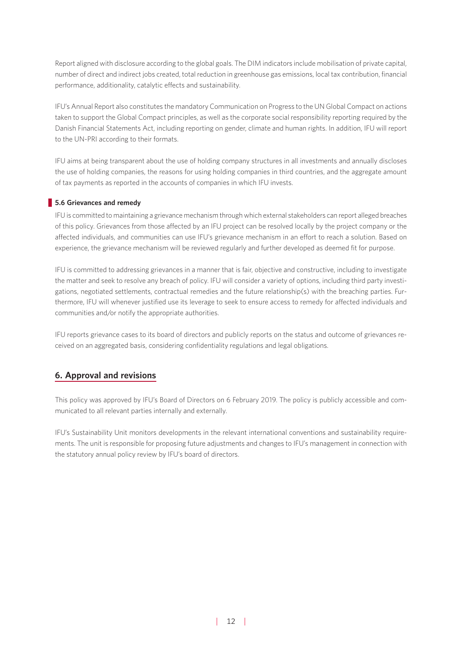Report aligned with disclosure according to the global goals. The DIM indicators include mobilisation of private capital, number of direct and indirect jobs created, total reduction in greenhouse gas emissions, local tax contribution, financial performance, additionality, catalytic effects and sustainability.

IFU's Annual Report also constitutes the mandatory Communication on Progress to the UN Global Compact on actions taken to support the Global Compact principles, as well as the corporate social responsibility reporting required by the Danish Financial Statements Act, including reporting on gender, climate and human rights. In addition, IFU will report to the UN-PRI according to their formats.

IFU aims at being transparent about the use of holding company structures in all investments and annually discloses the use of holding companies, the reasons for using holding companies in third countries, and the aggregate amount of tax payments as reported in the accounts of companies in which IFU invests.

## **5.6 Grievances and remedy**

IFU is committed to maintaining a grievance mechanism through which external stakeholders can report alleged breaches of this policy. Grievances from those affected by an IFU project can be resolved locally by the project company or the affected individuals, and communities can use IFU's grievance mechanism in an effort to reach a solution. Based on experience, the grievance mechanism will be reviewed regularly and further developed as deemed fit for purpose.

IFU is committed to addressing grievances in a manner that is fair, objective and constructive, including to investigate the matter and seek to resolve any breach of policy. IFU will consider a variety of options, including third party investigations, negotiated settlements, contractual remedies and the future relationship(s) with the breaching parties. Furthermore, IFU will whenever justified use its leverage to seek to ensure access to remedy for affected individuals and communities and/or notify the appropriate authorities.

IFU reports grievance cases to its board of directors and publicly reports on the status and outcome of grievances received on an aggregated basis, considering confidentiality regulations and legal obligations.

## **6. Approval and revisions**

This policy was approved by IFU's Board of Directors on 6 February 2019. The policy is publicly accessible and communicated to all relevant parties internally and externally.

IFU's Sustainability Unit monitors developments in the relevant international conventions and sustainability requirements. The unit is responsible for proposing future adjustments and changes to IFU's management in connection with the statutory annual policy review by IFU's board of directors.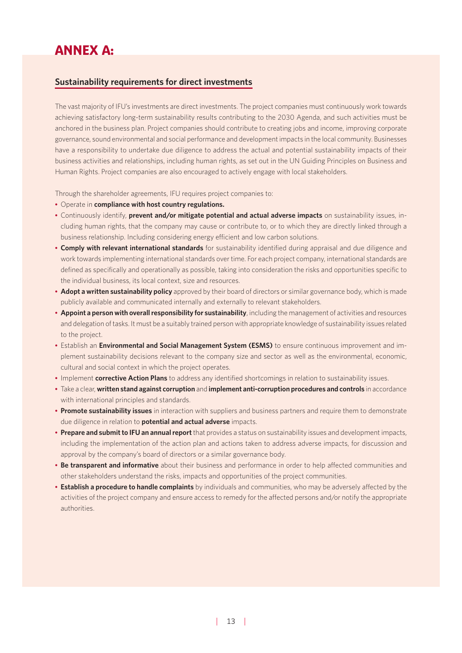## ANNEX A:

## **Sustainability requirements for direct investments**

The vast majority of IFU's investments are direct investments. The project companies must continuously work towards achieving satisfactory long-term sustainability results contributing to the 2030 Agenda, and such activities must be anchored in the business plan. Project companies should contribute to creating jobs and income, improving corporate governance, sound environmental and social performance and development impacts in the local community. Businesses have a responsibility to undertake due diligence to address the actual and potential sustainability impacts of their business activities and relationships, including human rights, as set out in the UN Guiding Principles on Business and Human Rights. Project companies are also encouraged to actively engage with local stakeholders.

Through the shareholder agreements, IFU requires project companies to:

- Operate in **compliance with host country regulations.**
- Continuously identify, **prevent and/or mitigate potential and actual adverse impacts** on sustainability issues, including human rights, that the company may cause or contribute to, or to which they are directly linked through a business relationship. Including considering energy efficient and low carbon solutions.
- **Comply with relevant international standards** for sustainability identified during appraisal and due diligence and work towards implementing international standards over time. For each project company, international standards are defined as specifically and operationally as possible, taking into consideration the risks and opportunities specific to the individual business, its local context, size and resources.
- **Adopt a written sustainability policy** approved by their board of directors or similar governance body, which is made publicly available and communicated internally and externally to relevant stakeholders.
- **Appoint a person with overall responsibility for sustainability**, including the management of activities and resources and delegation of tasks. It must be a suitably trained person with appropriate knowledge of sustainability issues related to the project.
- Establish an **Environmental and Social Management System (ESMS)** to ensure continuous improvement and implement sustainability decisions relevant to the company size and sector as well as the environmental, economic, cultural and social context in which the project operates.
- Implement **corrective Action Plans** to address any identified shortcomings in relation to sustainability issues.
- Take a clear, **written stand against corruption** and **implement anti-corruption procedures and controls** in accordance with international principles and standards.
- **Promote sustainability issues** in interaction with suppliers and business partners and require them to demonstrate due diligence in relation to **potential and actual adverse** impacts.
- **Prepare and submit to IFU an annual report** that provides a status on sustainability issues and development impacts, including the implementation of the action plan and actions taken to address adverse impacts, for discussion and approval by the company's board of directors or a similar governance body.
- **Be transparent and informative** about their business and performance in order to help affected communities and other stakeholders understand the risks, impacts and opportunities of the project communities.
- **Establish a procedure to handle complaints** by individuals and communities, who may be adversely affected by the activities of the project company and ensure access to remedy for the affected persons and/or notify the appropriate authorities.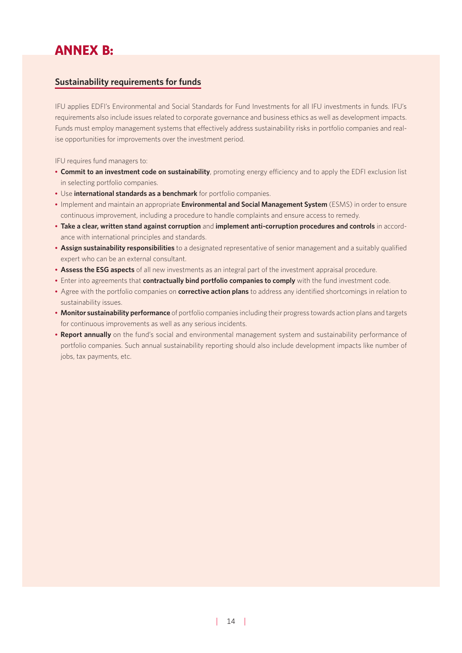# ANNEX B:

## **Sustainability requirements for funds**

IFU applies EDFI's Environmental and Social Standards for Fund Investments for all IFU investments in funds. IFU's requirements also include issues related to corporate governance and business ethics as well as development impacts. Funds must employ management systems that effectively address sustainability risks in portfolio companies and realise opportunities for improvements over the investment period.

IFU requires fund managers to:

- **Commit to an investment code on sustainability**, promoting energy efficiency and to apply the EDFI exclusion list in selecting portfolio companies.
- Use **international standards as a benchmark** for portfolio companies.
- Implement and maintain an appropriate **Environmental and Social Management System** (ESMS) in order to ensure continuous improvement, including a procedure to handle complaints and ensure access to remedy.
- **Take a clear, written stand against corruption** and **implement anti-corruption procedures and controls** in accordance with international principles and standards.
- **Assign sustainability responsibilities** to a designated representative of senior management and a suitably qualified expert who can be an external consultant.
- **Assess the ESG aspects** of all new investments as an integral part of the investment appraisal procedure.
- Enter into agreements that **contractually bind portfolio companies to comply** with the fund investment code.
- Agree with the portfolio companies on **corrective action plans** to address any identified shortcomings in relation to sustainability issues.
- **Monitor sustainability performance** of portfolio companies including their progress towards action plans and targets for continuous improvements as well as any serious incidents.
- **Report annually** on the fund's social and environmental management system and sustainability performance of portfolio companies. Such annual sustainability reporting should also include development impacts like number of jobs, tax payments, etc.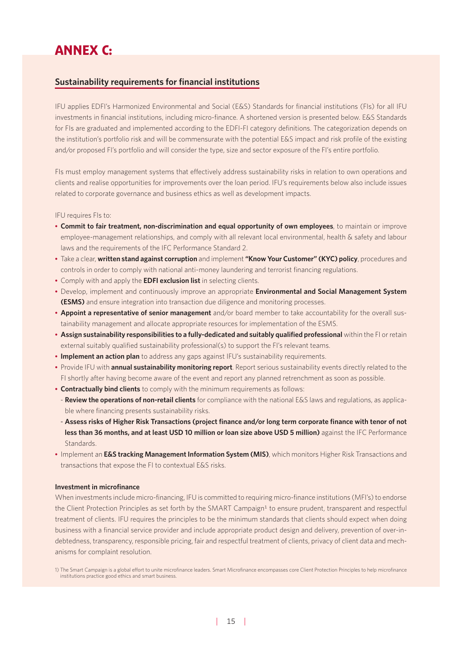# ANNEX C:

## **Sustainability requirements for financial institutions**

IFU applies EDFI's Harmonized Environmental and Social (E&S) Standards for financial institutions (FIs) for all IFU investments in financial institutions, including micro-finance. A shortened version is presented below. E&S Standards for FIs are graduated and implemented according to the EDFI-FI category definitions. The categorization depends on the institution's portfolio risk and will be commensurate with the potential E&S impact and risk profile of the existing and/or proposed FI's portfolio and will consider the type, size and sector exposure of the FI's entire portfolio.

FIs must employ management systems that effectively address sustainability risks in relation to own operations and clients and realise opportunities for improvements over the loan period. IFU's requirements below also include issues related to corporate governance and business ethics as well as development impacts.

## IFU requires FIs to:

- **Commit to fair treatment, non-discrimination and equal opportunity of own employees**, to maintain or improve employee-management relationships, and comply with all relevant local environmental, health & safety and labour laws and the requirements of the IFC Performance Standard 2.
- Take a clear, **written stand against corruption** and implement **"Know Your Customer" (KYC) policy**, procedures and controls in order to comply with national anti-money laundering and terrorist financing regulations.
- Comply with and apply the **EDFI exclusion list** in selecting clients.
- Develop, implement and continuously improve an appropriate **Environmental and Social Management System (ESMS)** and ensure integration into transaction due diligence and monitoring processes.
- **Appoint a representative of senior management** and/or board member to take accountability for the overall sustainability management and allocate appropriate resources for implementation of the ESMS.
- **Assign sustainability responsibilities to a fully-dedicated and suitably qualified professional** within the FI or retain external suitably qualified sustainability professional(s) to support the FI's relevant teams.
- **Implement an action plan** to address any gaps against IFU's sustainability requirements.
- Provide IFU with **annual sustainability monitoring report**. Report serious sustainability events directly related to the FI shortly after having become aware of the event and report any planned retrenchment as soon as possible.
- **Contractually bind clients** to comply with the minimum requirements as follows:
- **Review the operations of non-retail clients** for compliance with the national E&S laws and regulations, as applicable where financing presents sustainability risks.
- **Assess risks of Higher Risk Transactions (project finance and/or long term corporate finance with tenor of not**  less than 36 months, and at least USD 10 million or loan size above USD 5 million) against the IFC Performance Standards.
- Implement an **E&S tracking Management Information System (MIS)**, which monitors Higher Risk Transactions and transactions that expose the FI to contextual E&S risks.

#### **Investment in microfinance**

When investments include micro-financing, IFU is committed to requiring micro-finance institutions (MFI's) to endorse the Client Protection Principles as set forth by the SMART Campaign<sup>1</sup> to ensure prudent, transparent and respectful treatment of clients. IFU requires the principles to be the minimum standards that clients should expect when doing business with a financial service provider and include appropriate product design and delivery, prevention of over-indebtedness, transparency, responsible pricing, fair and respectful treatment of clients, privacy of client data and mechanisms for complaint resolution.

<sup>1)</sup> The Smart Campaign is a global effort to unite microfinance leaders. Smart Microfinance encompasses core Client Protection Principles to help microfinance institutions practice good ethics and smart business.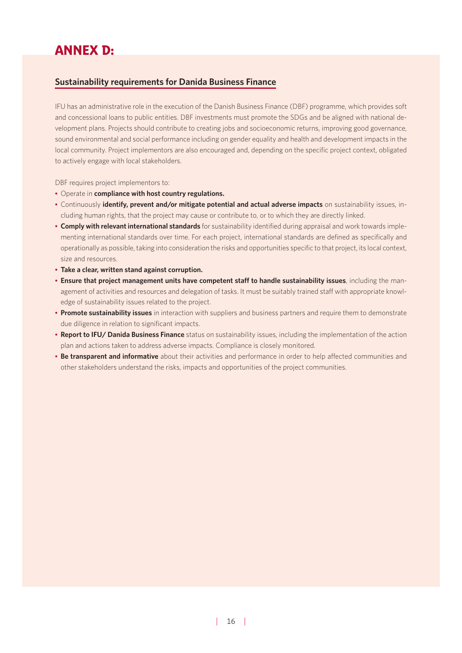# ANNEX D:

## **Sustainability requirements for Danida Business Finance**

IFU has an administrative role in the execution of the Danish Business Finance (DBF) programme, which provides soft and concessional loans to public entities. DBF investments must promote the SDGs and be aligned with national development plans. Projects should contribute to creating jobs and socioeconomic returns, improving good governance, sound environmental and social performance including on gender equality and health and development impacts in the local community. Project implementors are also encouraged and, depending on the specific project context, obligated to actively engage with local stakeholders.

DBF requires project implementors to:

- Operate in **compliance with host country regulations.**
- Continuously **identify, prevent and/or mitigate potential and actual adverse impacts** on sustainability issues, including human rights, that the project may cause or contribute to, or to which they are directly linked.
- **Comply with relevant international standards** for sustainability identified during appraisal and work towards implementing international standards over time. For each project, international standards are defined as specifically and operationally as possible, taking into consideration the risks and opportunities specific to that project, its local context, size and resources.
- **Take a clear, written stand against corruption.**
- **Ensure that project management units have competent staff to handle sustainability issues**, including the management of activities and resources and delegation of tasks. It must be suitably trained staff with appropriate knowledge of sustainability issues related to the project.
- **Promote sustainability issues** in interaction with suppliers and business partners and require them to demonstrate due diligence in relation to significant impacts.
- **Report to IFU/ Danida Business Finance** status on sustainability issues, including the implementation of the action plan and actions taken to address adverse impacts. Compliance is closely monitored.
- **Be transparent and informative** about their activities and performance in order to help affected communities and other stakeholders understand the risks, impacts and opportunities of the project communities.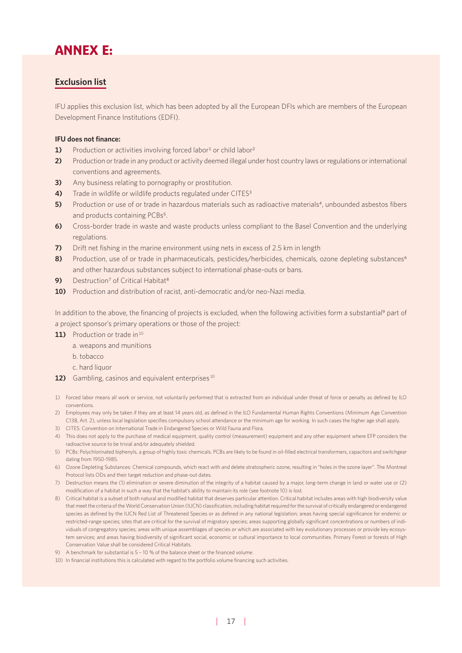# ANNEX E:

## **Exclusion list**

IFU applies this exclusion list, which has been adopted by all the European DFIs which are members of the European Development Finance Institutions (EDFI).

## **IFU does not finance:**

- **1)** Production or activities involving forced labor<sup>1</sup> or child labor<sup>2</sup>
- **2)** Production or trade in any product or activity deemed illegal under host country laws or regulations or international conventions and agreements.
- **3)** Any business relating to pornography or prostitution.
- **4)** Trade in wildlife or wildlife products regulated under CITES<sup>3</sup>
- **5)** Production or use of or trade in hazardous materials such as radioactive materials<sup>4</sup>, unbounded asbestos fibers and products containing PCBs<sup>5</sup>.
- **6)** Cross-border trade in waste and waste products unless compliant to the Basel Convention and the underlying regulations.
- **7)** Drift net fishing in the marine environment using nets in excess of 2.5 km in length
- 8) Production, use of or trade in pharmaceuticals, pesticides/herbicides, chemicals, ozone depleting substances<sup>6</sup> and other hazardous substances subject to international phase-outs or bans.
- **9)** Destruction<sup>7</sup> of Critical Habitat<sup>8</sup>
- **10)** Production and distribution of racist, anti-democratic and/or neo-Nazi media.

In addition to the above, the financing of projects is excluded, when the following activities form a substantial<sup>9</sup> part of a project sponsor's primary operations or those of the project:

11) Production or trade in<sup>10</sup>

- a. weapons and munitions
- b. tobacco
- c. hard liquor
- **12)** Gambling, casinos and equivalent enterprises<sup>10</sup>
- 1) Forced labor means all work or service, not voluntarily performed that is extracted from an individual under threat of force or penalty as defined by ILO conventions.
- 2) Employees may only be taken if they are at least 14 years old, as defined in the ILO Fundamental Human Rights Conventions (Minimum Age Convention C138, Art. 2), unless local legislation specifies compulsory school attendance or the minimum age for working. In such cases the higher age shall apply.
- 3) CITES: Convention on International Trade in Endangered Species or Wild Fauna and Flora.
- 4) This does not apply to the purchase of medical equipment, quality control (measurement) equipment and any other equipment where EFP considers the radioactive source to be trivial and/or adequately shielded.
- 5) PCBs: Polychlorinated biphenyls, a group of highly toxic chemicals. PCBs are likely to be found in oil-filled electrical transformers, capacitors and switchgear dating from 1950-1985.
- 6) Ozone Depleting Substances: Chemical compounds, which react with and delete stratospheric ozone, resulting in "holes in the ozone layer". The Montreal Protocol lists ODs and their target reduction and phase-out dates.
- 7) Destruction means the (1) elimination or severe diminution of the integrity of a habitat caused by a major, long-term change in land or water use or (2) modification of a habitat in such a way that the habitat's ability to maintain its role (see footnote 10) is lost.
- 8) Critical habitat is a subset of both natural and modified habitat that deserves particular attention. Critical habitat includes areas with high biodiversity value that meet the criteria of the World Conservation Union (IUCN) classification, including habitat required for the survival of critically endangered or endangered species as defined by the IUCN Red List of Threatened Species or as defined in any national legislation; areas having special significance for endemic or restricted-range species; sites that are critical for the survival of migratory species; areas supporting globally significant concentrations or numbers of individuals of congregatory species; areas with unique assemblages of species or which are associated with key evolutionary processes or provide key ecosystem services; and areas having biodiversity of significant social, economic or cultural importance to local communities. Primary Forest or forests of High Conservation Value shall be considered Critical Habitats.
- 9) A benchmark for substantial is 5 10 % of the balance sheet or the financed volume.
- 10) In financial institutions this is calculated with regard to the portfolio volume financing such activities.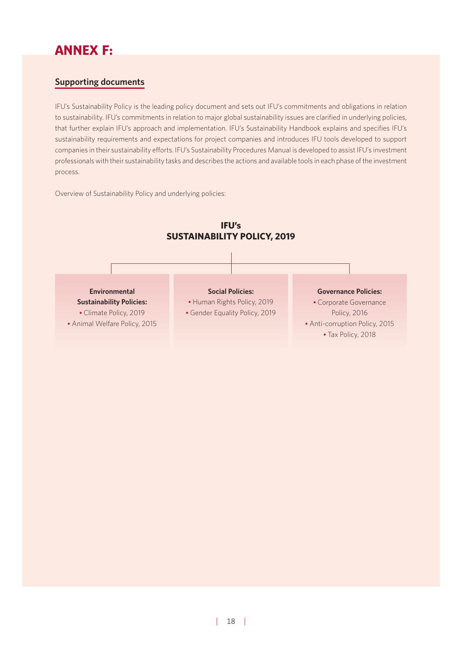# ANNEX F:

## **Supporting documents**

IFU's Sustainability Policy is the leading policy document and sets out IFU's commitments and obligations in relation to sustainability. IFU's commitments in relation to major global sustainability issues are clarified in underlying policies, that further explain IFU's approach and implementation. IFU's Sustainability Handbook explains and specifies IFU's sustainability requirements and expectations for project companies and introduces IFU tools developed to support companies in their sustainability efforts. IFU's Sustainability Procedures Manual is developed to assist IFU's investment professionals with their sustainability tasks and describes the actions and available tools in each phase of the investment process.

Overview of Sustainability Policy and underlying policies:

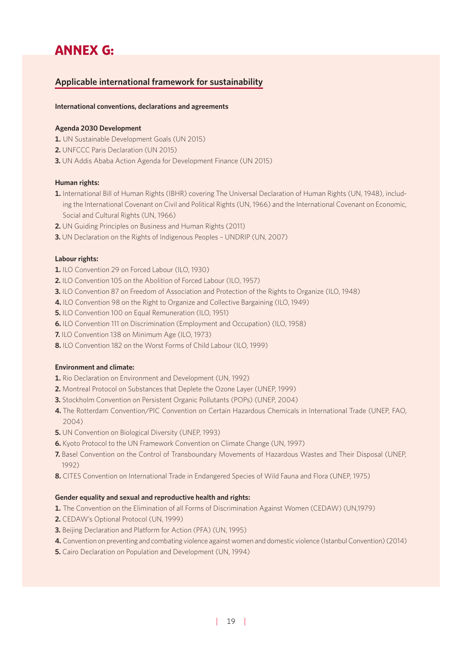# ANNEX G:

## **Applicable international framework for sustainability**

### **International conventions, declarations and agreements**

## **Agenda 2030 Development**

- **1.** UN Sustainable Development Goals (UN 2015)
- **2.** UNFCCC Paris Declaration (UN 2015)
- **3.** UN Addis Ababa Action Agenda for Development Finance (UN 2015)

## **Human rights:**

- **1.** International Bill of Human Rights (IBHR) covering The Universal Declaration of Human Rights (UN, 1948), including the International Covenant on Civil and Political Rights (UN, 1966) and the International Covenant on Economic, Social and Cultural Rights (UN, 1966)
- **2.** UN Guiding Principles on Business and Human Rights (2011)
- **3.** UN Declaration on the Rights of Indigenous Peoples UNDRIP (UN, 2007)

#### **Labour rights:**

- **1.** ILO Convention 29 on Forced Labour (ILO, 1930)
- **2.** ILO Convention 105 on the Abolition of Forced Labour (ILO, 1957)
- **3.** ILO Convention 87 on Freedom of Association and Protection of the Rights to Organize (ILO, 1948)
- **4.** ILO Convention 98 on the Right to Organize and Collective Bargaining (ILO, 1949)
- **5.** ILO Convention 100 on Equal Remuneration (ILO, 1951)
- **6.** ILO Convention 111 on Discrimination (Employment and Occupation) (ILO, 1958)
- **7.** ILO Convention 138 on Minimum Age (ILO, 1973)
- **8.** ILO Convention 182 on the Worst Forms of Child Labour (ILO, 1999)

#### **Environment and climate:**

- **1.** Rio Declaration on Environment and Development (UN, 1992)
- **2.** Montreal Protocol on Substances that Deplete the Ozone Layer (UNEP, 1999)
- **3.** Stockholm Convention on Persistent Organic Pollutants (POPs) (UNEP, 2004)
- **4.** The Rotterdam Convention/PIC Convention on Certain Hazardous Chemicals in International Trade (UNEP, FAO, 2004)
- **5.** UN Convention on Biological Diversity (UNEP, 1993)
- **6.** Kyoto Protocol to the UN Framework Convention on Climate Change (UN, 1997)
- **7.** Basel Convention on the Control of Transboundary Movements of Hazardous Wastes and Their Disposal (UNEP, 1992)
- **8.** CITES Convention on International Trade in Endangered Species of Wild Fauna and Flora (UNEP, 1975)

#### **Gender equality and sexual and reproductive health and rights:**

- **1.** The Convention on the Elimination of all Forms of Discrimination Against Women (CEDAW) (UN,1979)
- **2.** CEDAW's Optional Protocol (UN, 1999)
- **3.** Beijing Declaration and Platform for Action (PFA) (UN, 1995)
- **4.** Convention on preventing and combating violence against women and domestic violence (Istanbul Convention) (2014)
- **5.** Cairo Declaration on Population and Development (UN, 1994)

| 19|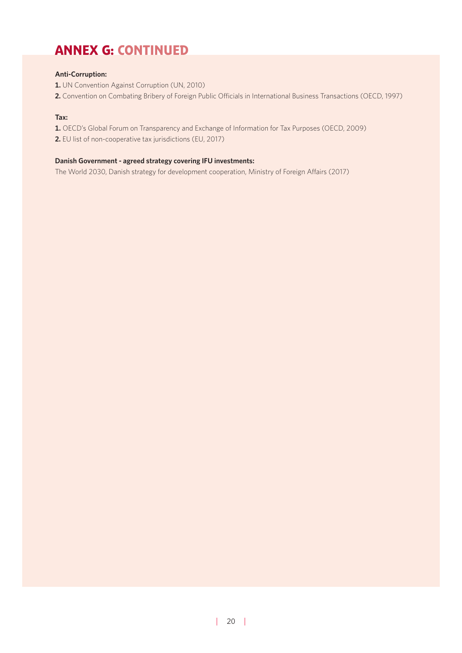# ANNEX G: CONTINUED

## **Anti-Corruption:**

- **1.** UN Convention Against Corruption (UN, 2010)
- **2.** Convention on Combating Bribery of Foreign Public Officials in International Business Transactions (OECD, 1997)

## **Tax:**

- **1.** OECD's Global Forum on Transparency and Exchange of Information for Tax Purposes (OECD, 2009)
- **2.** EU list of non-cooperative tax jurisdictions (EU, 2017)

## **Danish Government - agreed strategy covering IFU investments:**

The World 2030, Danish strategy for development cooperation, Ministry of Foreign Affairs (2017)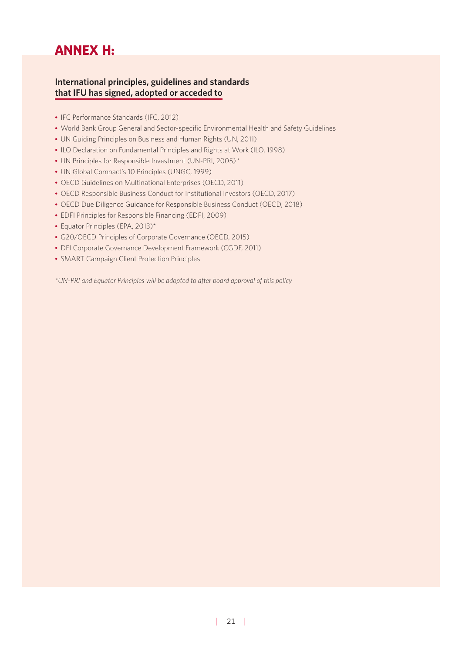# ANNEX H:

## **International principles, guidelines and standards that IFU has signed, adopted or acceded to**

- IFC Performance Standards (IFC, 2012)
- World Bank Group General and Sector-specific Environmental Health and Safety Guidelines
- UN Guiding Principles on Business and Human Rights (UN, 2011)
- ILO Declaration on Fundamental Principles and Rights at Work (ILO, 1998)
- UN Principles for Responsible Investment (UN-PRI, 2005)\*
- UN Global Compact's 10 Principles (UNGC, 1999)
- OECD Guidelines on Multinational Enterprises (OECD, 2011)
- OECD Responsible Business Conduct for Institutional Investors (OECD, 2017)
- OECD Due Diligence Guidance for Responsible Business Conduct (OECD, 2018)
- EDFI Principles for Responsible Financing (EDFI, 2009)
- Equator Principles (EPA, 2013)\*
- G20/OECD Principles of Corporate Governance (OECD, 2015)
- DFI Corporate Governance Development Framework (CGDF, 2011)
- SMART Campaign Client Protection Principles

*\*UN-PRI and Equator Principles will be adopted to after board approval of this policy*